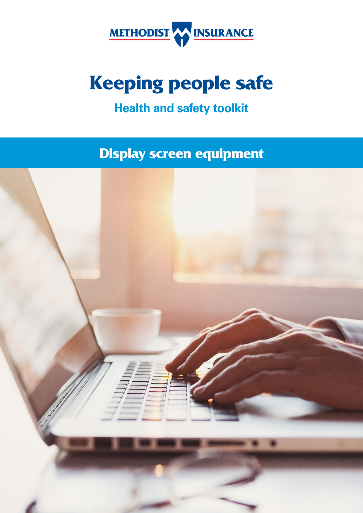

# **Keeping people safe**

# **Health and safety toolkit**

**Display screen equipment** 

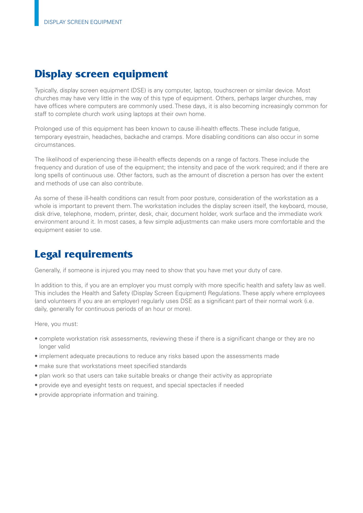## **Display screen equipment**

Typically, display screen equipment (DSE) is any computer, laptop, touchscreen or similar device. Most churches may have very little in the way of this type of equipment. Others, perhaps larger churches, may have offices where computers are commonly used. These days, it is also becoming increasingly common for staff to complete church work using laptops at their own home.

Prolonged use of this equipment has been known to cause ill-health effects. These include fatigue, temporary eyestrain, headaches, backache and cramps. More disabling conditions can also occur in some circumstances.

The likelihood of experiencing these ill-health effects depends on a range of factors. These include the frequency and duration of use of the equipment; the intensity and pace of the work required; and if there are long spells of continuous use. Other factors, such as the amount of discretion a person has over the extent and methods of use can also contribute.

As some of these ill-health conditions can result from poor posture, consideration of the workstation as a whole is important to prevent them. The workstation includes the display screen itself, the keyboard, mouse, disk drive, telephone, modem, printer, desk, chair, document holder, work surface and the immediate work environment around it. In most cases, a few simple adjustments can make users more comfortable and the equipment easier to use.

# **Legal requirements**

Generally, if someone is injured you may need to show that you have met your duty of care.

In addition to this, if you are an employer you must comply with more specifc health and safety law as well. This includes the Health and Safety (Display Screen Equipment) Regulations. These apply where employees (and volunteers if you are an employer) regularly uses DSE as a significant part of their normal work (i.e. daily, generally for continuous periods of an hour or more).

Here, you must:

- complete workstation risk assessments, reviewing these if there is a significant change or they are no longer valid
- implement adequate precautions to reduce any risks based upon the assessments made
- make sure that workstations meet specifed standards
- plan work so that users can take suitable breaks or change their activity as appropriate
- provide eye and eyesight tests on request, and special spectacles if needed
- provide appropriate information and training.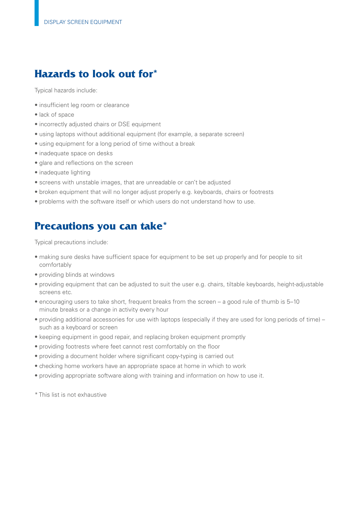## **Hazards to look out for\***

Typical hazards include:

- insufficient leg room or clearance
- lack of space
- incorrectly adjusted chairs or DSE equipment
- using laptops without additional equipment (for example, a separate screen)
- using equipment for a long period of time without a break
- inadequate space on desks
- glare and reflections on the screen
- inadequate lighting
- screens with unstable images, that are unreadable or can't be adjusted
- broken equipment that will no longer adjust properly e.g. keyboards, chairs or footrests
- problems with the software itself or which users do not understand how to use.

## **Precautions you can take\***

Typical precautions include:

- making sure desks have sufficient space for equipment to be set up properly and for people to sit comfortably
- providing blinds at windows
- providing equipment that can be adjusted to suit the user e.g. chairs, tiltable keyboards, height-adjustable screens etc.
- encouraging users to take short, frequent breaks from the screen a good rule of thumb is 5–10 minute breaks or a change in activity every hour
- providing additional accessories for use with laptops (especially if they are used for long periods of time) such as a keyboard or screen
- keeping equipment in good repair, and replacing broken equipment promptly
- providing footrests where feet cannot rest comfortably on the foor
- providing a document holder where signifcant copy-typing is carried out
- checking home workers have an appropriate space at home in which to work
- providing appropriate software along with training and information on how to use it.

\* This list is not exhaustive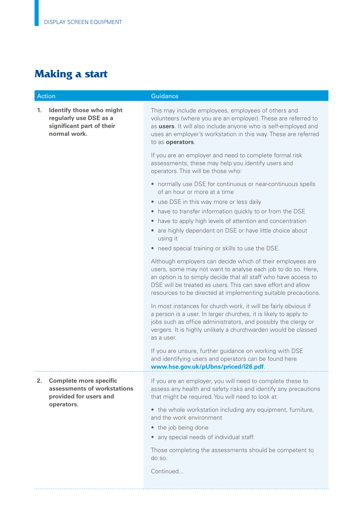## **Making a start**

| Action |                                                                                                 | Guidance                                                                                                                                                                                                                                                                     |
|--------|-------------------------------------------------------------------------------------------------|------------------------------------------------------------------------------------------------------------------------------------------------------------------------------------------------------------------------------------------------------------------------------|
| 1.     | Identify those who might<br>regularly use DSE as a<br>significant part of their<br>normal work. | This may include employees, employees of others and<br>volunteers (where you are an employer). These are referred to<br>as users. It will also include anyone who is self-employed and<br>uses an employer's workstation in this way. These are referred<br>to as operators. |
|        |                                                                                                 | If you are an employer and need to complete formal risk<br>assessments, these may help you identify users and<br>operators. This will be those who:                                                                                                                          |
|        |                                                                                                 | • normally use DSE for continuous or near-continuous spells<br>of an hour or more at a time                                                                                                                                                                                  |

- use DSE in this way more or less daily
- have to transfer information quickly to or from the DSE
- have to apply high levels of attention and concentration
- are highly dependent on DSE or have little choice about using it
- need special training or skills to use the DSE.

Although employers can decide which of their employees are users, some may not want to analyse each job to do so. Here, an option is to simply decide that all staff who have access to DSE will be treated as users. This can save effort and allow resources to be directed at implementing suitable precautions.

In most instances for church work, it will be fairly obvious if a person is a user. In larger churches, it is likely to apply to jobs such as office administrators, and possibly the clergy or vergers. It is highly unlikely a churchwarden would be classed as a user.

If you are unsure, further guidance on working with DSE and identifying users and operators can be found here **<www.hse.gov.uk/pUbns/priced/l26.pdf>**.

 **2. Complete more specifc assessments of workstations provided for users and operators.** 

If you are an employer, you will need to complete these to assess any health and safety risks and identify any precautions that might be required. You will need to look at:

• the whole workstation including any equipment, furniture, and the work environment

- the job being done
- any special needs of individual staff.

Those completing the assessments should be competent to do so.

Continued...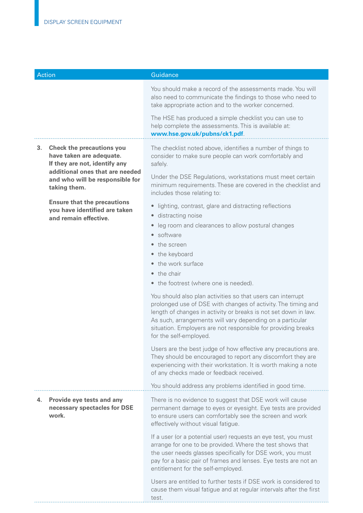| <b>Action</b> |                                                                                                                                  | Guidance                                                                                                                                                                                                                                                                                                                                                |
|---------------|----------------------------------------------------------------------------------------------------------------------------------|---------------------------------------------------------------------------------------------------------------------------------------------------------------------------------------------------------------------------------------------------------------------------------------------------------------------------------------------------------|
|               |                                                                                                                                  | You should make a record of the assessments made. You will<br>also need to communicate the findings to those who need to<br>take appropriate action and to the worker concerned.                                                                                                                                                                        |
|               |                                                                                                                                  | The HSE has produced a simple checklist you can use to<br>help complete the assessments. This is available at:<br>www.hse.gov.uk/pubns/ck1.pdf.                                                                                                                                                                                                         |
| 3.            | <b>Check the precautions you</b><br>have taken are adequate.<br>If they are not, identify any<br>additional ones that are needed | The checklist noted above, identifies a number of things to<br>consider to make sure people can work comfortably and<br>safely.                                                                                                                                                                                                                         |
|               | and who will be responsible for<br>taking them.                                                                                  | Under the DSE Regulations, workstations must meet certain<br>minimum requirements. These are covered in the checklist and<br>includes those relating to:                                                                                                                                                                                                |
|               | <b>Ensure that the precautions</b><br>you have identified are taken<br>and remain effective.                                     | • lighting, contrast, glare and distracting reflections<br>distracting noise<br>$\bullet$<br>leg room and clearances to allow postural changes<br>$\bullet$                                                                                                                                                                                             |
|               |                                                                                                                                  | software<br>$\bullet$<br>the screen<br>• the keyboard<br>the work surface<br>the chair                                                                                                                                                                                                                                                                  |
|               |                                                                                                                                  | the footrest (where one is needed).<br>$\bullet$                                                                                                                                                                                                                                                                                                        |
|               |                                                                                                                                  | You should also plan activities so that users can interrupt<br>prolonged use of DSE with changes of activity. The timing and<br>length of changes in activity or breaks is not set down in law.<br>As such, arrangements will vary depending on a particular<br>situation. Employers are not responsible for providing breaks<br>for the self-employed. |
|               |                                                                                                                                  | Users are the best judge of how effective any precautions are.<br>They should be encouraged to report any discomfort they are<br>experiencing with their workstation. It is worth making a note<br>of any checks made or feedback received.                                                                                                             |
|               |                                                                                                                                  | You should address any problems identified in good time.                                                                                                                                                                                                                                                                                                |
| 4.            | Provide eye tests and any<br>necessary spectacles for DSE<br>work.                                                               | There is no evidence to suggest that DSE work will cause<br>permanent damage to eyes or eyesight. Eye tests are provided<br>to ensure users can comfortably see the screen and work<br>effectively without visual fatigue.                                                                                                                              |
|               |                                                                                                                                  | If a user (or a potential user) requests an eye test, you must<br>arrange for one to be provided. Where the test shows that<br>the user needs glasses specifically for DSE work, you must<br>pay for a basic pair of frames and lenses. Eye tests are not an<br>entitlement for the self-employed.                                                      |
|               |                                                                                                                                  | Users are entitled to further tests if DSE work is considered to<br>cause them visual fatigue and at regular intervals after the first<br>test.                                                                                                                                                                                                         |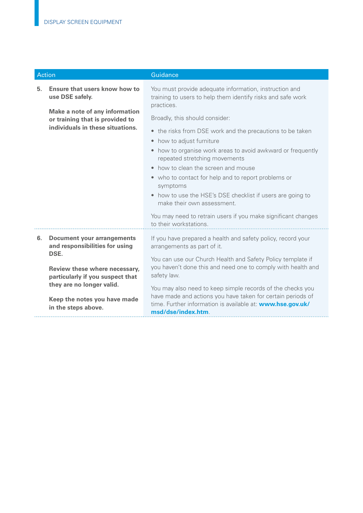| <b>Action</b> |                                                                                                       | Guidance                                                                                                                                                                                                      |
|---------------|-------------------------------------------------------------------------------------------------------|---------------------------------------------------------------------------------------------------------------------------------------------------------------------------------------------------------------|
| 5.            | Ensure that users know how to<br>use DSE safely.                                                      | You must provide adequate information, instruction and<br>training to users to help them identify risks and safe work<br>practices.                                                                           |
|               | Make a note of any information<br>or training that is provided to<br>individuals in these situations. | Broadly, this should consider:<br>• the risks from DSE work and the precautions to be taken                                                                                                                   |
|               |                                                                                                       | how to adjust furniture<br>٠<br>• how to organise work areas to avoid awkward or frequently<br>repeated stretching movements                                                                                  |
|               |                                                                                                       | how to clean the screen and mouse<br>$\bullet$                                                                                                                                                                |
|               |                                                                                                       | • who to contact for help and to report problems or<br>symptoms                                                                                                                                               |
|               |                                                                                                       | • how to use the HSE's DSE checklist if users are going to<br>make their own assessment.                                                                                                                      |
|               |                                                                                                       | You may need to retrain users if you make significant changes<br>to their workstations.                                                                                                                       |
| 6.            | <b>Document your arrangements</b><br>and responsibilities for using<br>DSE.                           | If you have prepared a health and safety policy, record your<br>arrangements as part of it.                                                                                                                   |
|               | Review these where necessary,<br>particularly if you suspect that                                     | You can use our Church Health and Safety Policy template if<br>you haven't done this and need one to comply with health and<br>safety law.                                                                    |
|               | they are no longer valid.<br>Keep the notes you have made<br>in the steps above.                      | You may also need to keep simple records of the checks you<br>have made and actions you have taken for certain periods of<br>time. Further information is available at: www.hse.gov.uk/<br>msd/dse/index.htm. |